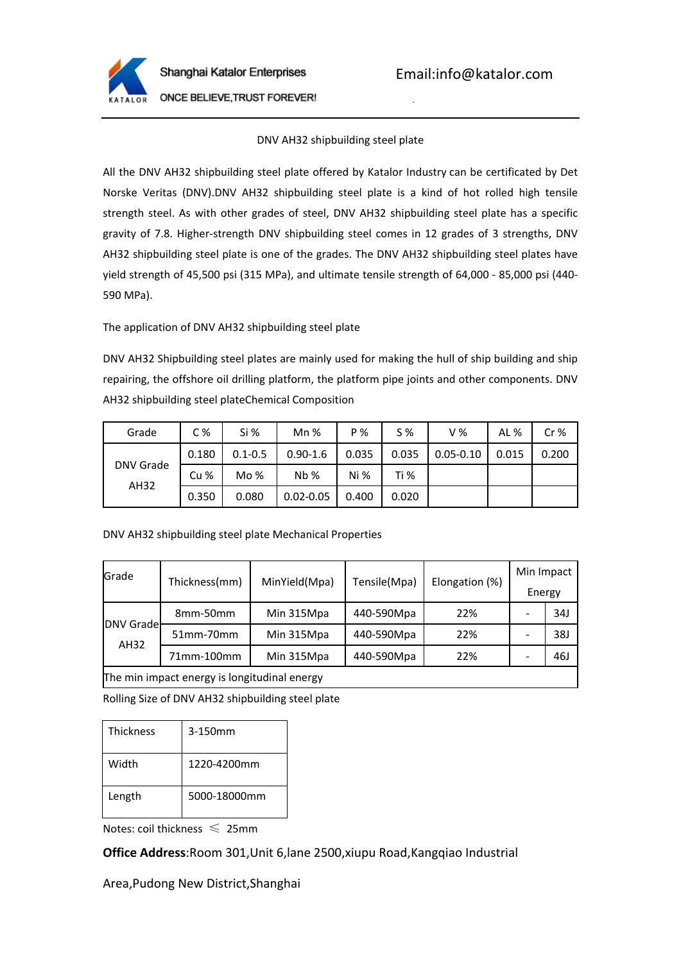

Tel:0086-21-61182423

ONCE BELIEVE, TRUST FOREVER!

## DNV AH32 shipbuilding steel plate

All the DNV AH32 shipbuilding steel plate offered by Katalor Industry can be certificated by Det Norske Veritas (DNV).DNV AH32 shipbuilding steel plate is a kind of hot rolled high tensile strength steel. As with other grades of steel, DNV AH32 shipbuilding steel plate has a specific gravity of 7.8. Higher-strength DNV shipbuilding steel comes in 12 grades of 3 strengths, DNV AH32 shipbuilding steel plate is one of the grades. The DNV AH32 shipbuilding steel plates have yield strength of 45,500 psi (315 MPa), and ultimate tensile strength of 64,000 - 85,000 psi (440- 590 MPa).

The application of DNV AH32 shipbuilding steel plate

DNV AH32 Shipbuilding steel plates are mainly used for making the hull of ship building and ship repairing, the offshore oil drilling platform, the platform pipe joints and other components. DNV AH32 shipbuilding steel plateChemical Composition

| Grade             | C <sub>%</sub>  | Si %        | $Mn$ %        | P %   | $S\%$ | V%            | AL %  | Cr%   |
|-------------------|-----------------|-------------|---------------|-------|-------|---------------|-------|-------|
| DNV Grade<br>AH32 | 0.180           | $0.1 - 0.5$ | $0.90 - 1.6$  | 0.035 | 0.035 | $0.05 - 0.10$ | 0.015 | 0.200 |
|                   | Cu <sub>%</sub> | Mo%         | Nb%           | Ni %  | Ti %  |               |       |       |
|                   | 0.350           | 0.080       | $0.02 - 0.05$ | 0.400 | 0.020 |               |       |       |

DNV AH32 shipbuilding steel plate Mechanical Properties

| Grade                                        | Thickness(mm) | MinYield(Mpa) | Tensile(Mpa) | Elongation (%) | Min Impact<br>Energy |     |  |
|----------------------------------------------|---------------|---------------|--------------|----------------|----------------------|-----|--|
| DNV Grade<br>AH32                            | 8mm-50mm      | Min 315Mpa    | 440-590Mpa   | 22%            |                      | 34J |  |
|                                              | 51mm-70mm     | Min 315Mpa    | 440-590Mpa   | 22%            |                      | 38J |  |
|                                              | 71mm-100mm    | Min 315Mpa    | 440-590Mpa   | 22%            |                      | 46J |  |
| The min impact energy is longitudinal energy |               |               |              |                |                      |     |  |

Rolling Size of DNV AH32 shipbuilding steel plate

| <b>Thickness</b> | 3-150mm      |
|------------------|--------------|
| Width            | 1220-4200mm  |
| Length           | 5000-18000mm |

Notes: coil thickness  $\leq 25$ mm

**Office Address**:Room 301,Unit 6,lane 2500,xiupu Road,Kangqiao Industrial

Area,Pudong New District,Shanghai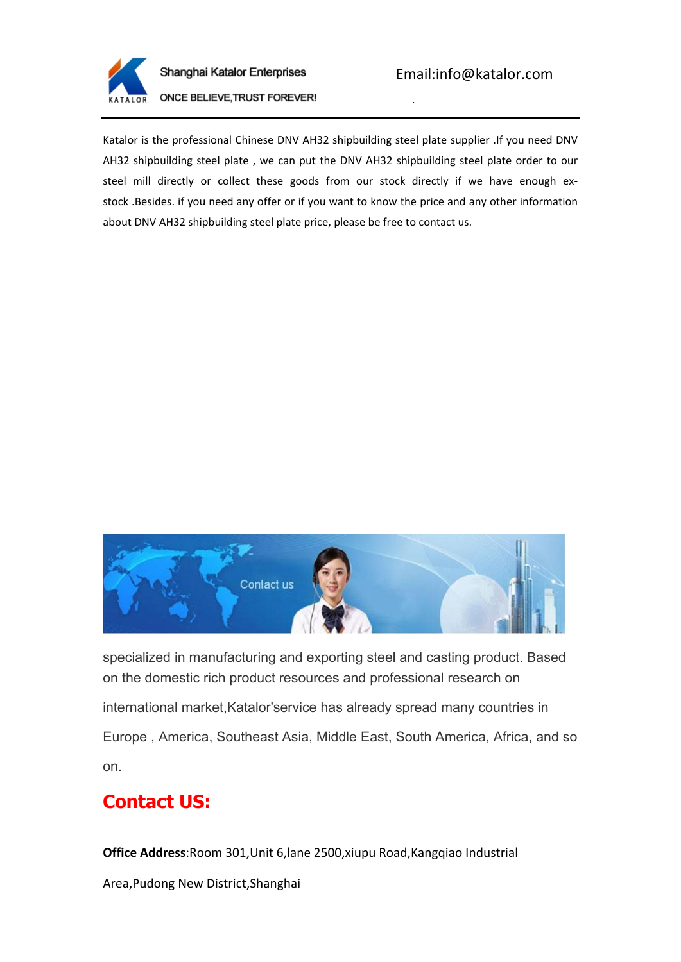

Shanghai Katalor Enterprises

Tel:0086-21-61182423

**ONCE BELIEVE, TRUST FOREVER!** 

Katalor is the professional Chinese DNV AH32 shipbuilding steel plate supplier .If you need DNV AH32 shipbuilding steel plate , we can put the DNV AH32 shipbuilding steel plate order to our steel mill directly or collect these goods from our stock directly if we have enough exstock .Besides. if you need any offer or if you want to know the price and any other information about DNV AH32 shipbuilding steel plate price, please be free to contact us.



specialized in manufacturing and exporting steel and casting product. Based on the domestic rich product resources and professional research on international market,Katalor'service has already spread many countries in Europe , America, Southeast Asia, Middle East, South America, Africa, and so on.

## **Contact US:**

**Office Address**:Room 301,Unit 6,lane 2500,xiupu Road,Kangqiao Industrial

Area,Pudong New District,Shanghai